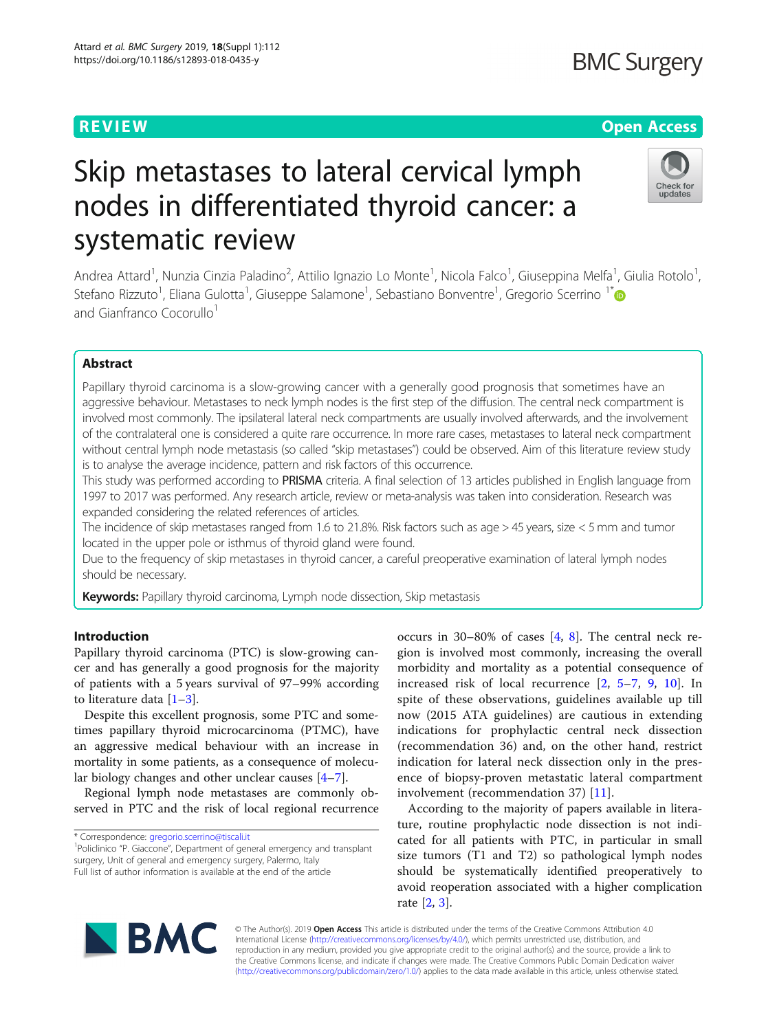**BMC Surgery** 

# **REVIEW CONTROL** CONTROL CONTROL CONTROL CONTROL CONTROL CONTROL CONTROL CONTROL CONTROL CONTROL CONTROL CONTROL

# Check for undates

# Skip metastases to lateral cervical lymph nodes in differentiated thyroid cancer: a systematic review

Andrea Attard<sup>1</sup>, Nunzia Cinzia Paladino<sup>2</sup>, Attilio Ignazio Lo Monte<sup>1</sup>, Nicola Falco<sup>1</sup>, Giuseppina Melfa<sup>1</sup>, Giulia Rotolo<sup>1</sup> , Stefano Rizzuto<sup>1</sup>, Eliana Gulotta<sup>1</sup>, Giuseppe Salamone<sup>1</sup>, Sebastiano Bonventre<sup>1</sup>, Gregorio Scerrino <sup>1\*</sup> and Gianfranco Cocorullo<sup>1</sup>

## Abstract

Papillary thyroid carcinoma is a slow-growing cancer with a generally good prognosis that sometimes have an aggressive behaviour. Metastases to neck lymph nodes is the first step of the diffusion. The central neck compartment is involved most commonly. The ipsilateral lateral neck compartments are usually involved afterwards, and the involvement of the contralateral one is considered a quite rare occurrence. In more rare cases, metastases to lateral neck compartment without central lymph node metastasis (so called "skip metastases") could be observed. Aim of this literature review study is to analyse the average incidence, pattern and risk factors of this occurrence.

This study was performed according to PRISMA criteria. A final selection of 13 articles published in English language from 1997 to 2017 was performed. Any research article, review or meta-analysis was taken into consideration. Research was expanded considering the related references of articles.

The incidence of skip metastases ranged from 1.6 to 21.8%. Risk factors such as age > 45 years, size < 5 mm and tumor located in the upper pole or isthmus of thyroid gland were found.

Due to the frequency of skip metastases in thyroid cancer, a careful preoperative examination of lateral lymph nodes should be necessary.

Keywords: Papillary thyroid carcinoma, Lymph node dissection, Skip metastasis

## Introduction

Papillary thyroid carcinoma (PTC) is slow-growing cancer and has generally a good prognosis for the majority of patients with a 5 years survival of 97–99% according to literature data [\[1](#page-5-0)–[3](#page-5-0)].

Despite this excellent prognosis, some PTC and sometimes papillary thyroid microcarcinoma (PTMC), have an aggressive medical behaviour with an increase in mortality in some patients, as a consequence of molecular biology changes and other unclear causes [[4](#page-5-0)–[7\]](#page-5-0).

Regional lymph node metastases are commonly observed in PTC and the risk of local regional recurrence

\* Correspondence: [gregorio.scerrino@tiscali.it](mailto:gregorio.scerrino@tiscali.it) <sup>1</sup>

<sup>1</sup>Policlinico "P. Giaccone", Department of general emergency and transplant surgery, Unit of general and emergency surgery, Palermo, Italy Full list of author information is available at the end of the article

occurs in 30–80% of cases [[4,](#page-5-0) [8](#page-5-0)]. The central neck region is involved most commonly, increasing the overall morbidity and mortality as a potential consequence of increased risk of local recurrence [[2,](#page-5-0) [5](#page-5-0)–[7](#page-5-0), [9,](#page-5-0) [10](#page-5-0)]. In spite of these observations, guidelines available up till now (2015 ATA guidelines) are cautious in extending indications for prophylactic central neck dissection (recommendation 36) and, on the other hand, restrict indication for lateral neck dissection only in the presence of biopsy-proven metastatic lateral compartment involvement (recommendation 37) [[11\]](#page-5-0).

According to the majority of papers available in literature, routine prophylactic node dissection is not indicated for all patients with PTC, in particular in small size tumors (T1 and T2) so pathological lymph nodes should be systematically identified preoperatively to avoid reoperation associated with a higher complication rate [\[2](#page-5-0), [3](#page-5-0)].



© The Author(s). 2019 **Open Access** This article is distributed under the terms of the Creative Commons Attribution 4.0 International License [\(http://creativecommons.org/licenses/by/4.0/](http://creativecommons.org/licenses/by/4.0/)), which permits unrestricted use, distribution, and reproduction in any medium, provided you give appropriate credit to the original author(s) and the source, provide a link to the Creative Commons license, and indicate if changes were made. The Creative Commons Public Domain Dedication waiver [\(http://creativecommons.org/publicdomain/zero/1.0/](http://creativecommons.org/publicdomain/zero/1.0/)) applies to the data made available in this article, unless otherwise stated.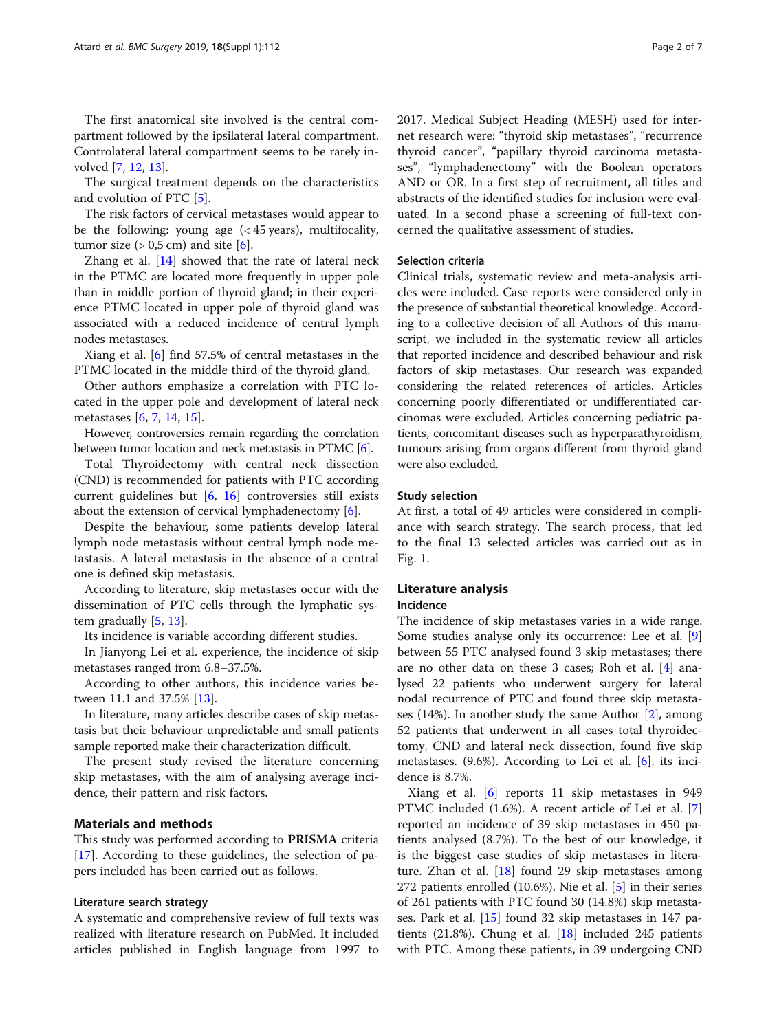The first anatomical site involved is the central compartment followed by the ipsilateral lateral compartment. Controlateral lateral compartment seems to be rarely involved [\[7,](#page-5-0) [12,](#page-5-0) [13\]](#page-5-0).

The surgical treatment depends on the characteristics and evolution of PTC [\[5](#page-5-0)].

The risk factors of cervical metastases would appear to be the following: young age (< 45 years), multifocality, tumor size  $(> 0.5$  cm) and site  $[6]$  $[6]$ .

Zhang et al. [\[14](#page-5-0)] showed that the rate of lateral neck in the PTMC are located more frequently in upper pole than in middle portion of thyroid gland; in their experience PTMC located in upper pole of thyroid gland was associated with a reduced incidence of central lymph nodes metastases.

Xiang et al. [\[6](#page-5-0)] find 57.5% of central metastases in the PTMC located in the middle third of the thyroid gland.

Other authors emphasize a correlation with PTC located in the upper pole and development of lateral neck metastases [\[6](#page-5-0), [7](#page-5-0), [14](#page-5-0), [15](#page-5-0)].

However, controversies remain regarding the correlation between tumor location and neck metastasis in PTMC [\[6](#page-5-0)].

Total Thyroidectomy with central neck dissection (CND) is recommended for patients with PTC according current guidelines but [\[6](#page-5-0), [16](#page-5-0)] controversies still exists about the extension of cervical lymphadenectomy [[6\]](#page-5-0).

Despite the behaviour, some patients develop lateral lymph node metastasis without central lymph node metastasis. A lateral metastasis in the absence of a central one is defined skip metastasis.

According to literature, skip metastases occur with the dissemination of PTC cells through the lymphatic system gradually [[5,](#page-5-0) [13\]](#page-5-0).

Its incidence is variable according different studies.

In Jianyong Lei et al. experience, the incidence of skip metastases ranged from 6.8–37.5%.

According to other authors, this incidence varies between 11.1 and 37.5% [\[13](#page-5-0)].

In literature, many articles describe cases of skip metastasis but their behaviour unpredictable and small patients sample reported make their characterization difficult.

The present study revised the literature concerning skip metastases, with the aim of analysing average incidence, their pattern and risk factors.

#### Materials and methods

This study was performed according to PRISMA criteria [[17\]](#page-5-0). According to these guidelines, the selection of papers included has been carried out as follows.

#### Literature search strategy

A systematic and comprehensive review of full texts was realized with literature research on PubMed. It included articles published in English language from 1997 to 2017. Medical Subject Heading (MESH) used for internet research were: "thyroid skip metastases", "recurrence thyroid cancer", "papillary thyroid carcinoma metastases", "lymphadenectomy" with the Boolean operators AND or OR. In a first step of recruitment, all titles and abstracts of the identified studies for inclusion were evaluated. In a second phase a screening of full-text concerned the qualitative assessment of studies.

#### Selection criteria

Clinical trials, systematic review and meta-analysis articles were included. Case reports were considered only in the presence of substantial theoretical knowledge. According to a collective decision of all Authors of this manuscript, we included in the systematic review all articles that reported incidence and described behaviour and risk factors of skip metastases. Our research was expanded considering the related references of articles. Articles concerning poorly differentiated or undifferentiated carcinomas were excluded. Articles concerning pediatric patients, concomitant diseases such as hyperparathyroidism, tumours arising from organs different from thyroid gland were also excluded.

#### Study selection

At first, a total of 49 articles were considered in compliance with search strategy. The search process, that led to the final 13 selected articles was carried out as in Fig. [1](#page-2-0).

### Literature analysis

#### Incidence

The incidence of skip metastases varies in a wide range. Some studies analyse only its occurrence: Lee et al. [\[9](#page-5-0)] between 55 PTC analysed found 3 skip metastases; there are no other data on these 3 cases; Roh et al. [[4](#page-5-0)] analysed 22 patients who underwent surgery for lateral nodal recurrence of PTC and found three skip metastases (14%). In another study the same Author [\[2](#page-5-0)], among 52 patients that underwent in all cases total thyroidectomy, CND and lateral neck dissection, found five skip metastases. (9.6%). According to Lei et al. [\[6](#page-5-0)], its incidence is 8.7%.

Xiang et al. [[6\]](#page-5-0) reports 11 skip metastases in 949 PTMC included (1.6%). A recent article of Lei et al. [\[7](#page-5-0)] reported an incidence of 39 skip metastases in 450 patients analysed (8.7%). To the best of our knowledge, it is the biggest case studies of skip metastases in literature. Zhan et al. [\[18\]](#page-5-0) found 29 skip metastases among 272 patients enrolled (10.6%). Nie et al. [\[5\]](#page-5-0) in their series of 261 patients with PTC found 30 (14.8%) skip metastases. Park et al. [\[15](#page-5-0)] found 32 skip metastases in 147 patients (21.8%). Chung et al. [[18\]](#page-5-0) included 245 patients with PTC. Among these patients, in 39 undergoing CND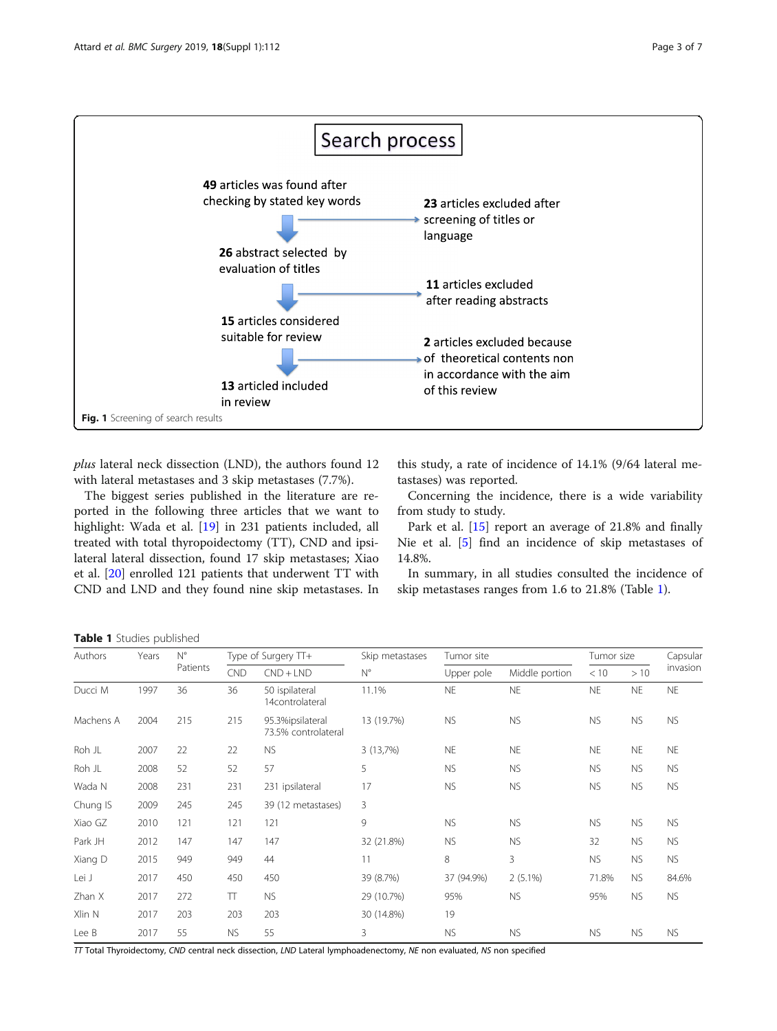<span id="page-2-0"></span>

plus lateral neck dissection (LND), the authors found 12 with lateral metastases and 3 skip metastases (7.7%).

The biggest series published in the literature are reported in the following three articles that we want to highlight: Wada et al. [\[19](#page-5-0)] in 231 patients included, all treated with total thyropoidectomy (TT), CND and ipsilateral lateral dissection, found 17 skip metastases; Xiao et al. [\[20\]](#page-5-0) enrolled 121 patients that underwent TT with CND and LND and they found nine skip metastases. In

this study, a rate of incidence of 14.1% (9/64 lateral metastases) was reported.

Concerning the incidence, there is a wide variability from study to study.

Park et al. [\[15](#page-5-0)] report an average of 21.8% and finally Nie et al. [\[5](#page-5-0)] find an incidence of skip metastases of 14.8%.

In summary, in all studies consulted the incidence of skip metastases ranges from 1.6 to 21.8% (Table 1).

Table 1 Studies published

| Authors   | Years | $N^{\circ}$<br>Patients | Type of Surgery TT+ |                                         | Skip metastases | Tumor site |                | Tumor size |           | Capsular  |
|-----------|-------|-------------------------|---------------------|-----------------------------------------|-----------------|------------|----------------|------------|-----------|-----------|
|           |       |                         | <b>CND</b>          | $CND + LND$                             | $N^{\circ}$     | Upper pole | Middle portion | < 10       | >10       | invasion  |
| Ducci M   | 1997  | 36                      | 36                  | 50 ispilateral<br>14controlateral       | 11.1%           | <b>NE</b>  | <b>NE</b>      | <b>NE</b>  | <b>NE</b> | <b>NE</b> |
| Machens A | 2004  | 215                     | 215                 | 95.3%ipsilateral<br>73.5% controlateral | 13 (19.7%)      | <b>NS</b>  | <b>NS</b>      | <b>NS</b>  | <b>NS</b> | <b>NS</b> |
| Roh JL    | 2007  | 22                      | 22                  | <b>NS</b>                               | 3 (13,7%)       | <b>NE</b>  | <b>NE</b>      | <b>NE</b>  | <b>NE</b> | <b>NE</b> |
| Roh JL    | 2008  | 52                      | 52                  | 57                                      | 5               | <b>NS</b>  | <b>NS</b>      | <b>NS</b>  | <b>NS</b> | <b>NS</b> |
| Wada N    | 2008  | 231                     | 231                 | 231 ipsilateral                         | 17              | <b>NS</b>  | <b>NS</b>      | <b>NS</b>  | <b>NS</b> | <b>NS</b> |
| Chung IS  | 2009  | 245                     | 245                 | 39 (12 metastases)                      | 3               |            |                |            |           |           |
| Xiao GZ   | 2010  | 121                     | 121                 | 121                                     | 9               | <b>NS</b>  | <b>NS</b>      | <b>NS</b>  | <b>NS</b> | NS.       |
| Park JH   | 2012  | 147                     | 147                 | 147                                     | 32 (21.8%)      | <b>NS</b>  | <b>NS</b>      | 32         | <b>NS</b> | <b>NS</b> |
| Xiang D   | 2015  | 949                     | 949                 | 44                                      | 11              | 8          | 3              | <b>NS</b>  | <b>NS</b> | NS.       |
| Lei J     | 2017  | 450                     | 450                 | 450                                     | 39 (8.7%)       | 37 (94.9%) | $2(5.1\%)$     | 71.8%      | <b>NS</b> | 84.6%     |
| Zhan X    | 2017  | 272                     | π                   | <b>NS</b>                               | 29 (10.7%)      | 95%        | <b>NS</b>      | 95%        | <b>NS</b> | <b>NS</b> |
| Xlin N    | 2017  | 203                     | 203                 | 203                                     | 30 (14.8%)      | 19         |                |            |           |           |
| Lee B     | 2017  | 55                      | <b>NS</b>           | 55                                      | 3               | <b>NS</b>  | <b>NS</b>      | <b>NS</b>  | <b>NS</b> | <b>NS</b> |

TT Total Thyroidectomy, CND central neck dissection, LND Lateral lymphoadenectomy, NE non evaluated, NS non specified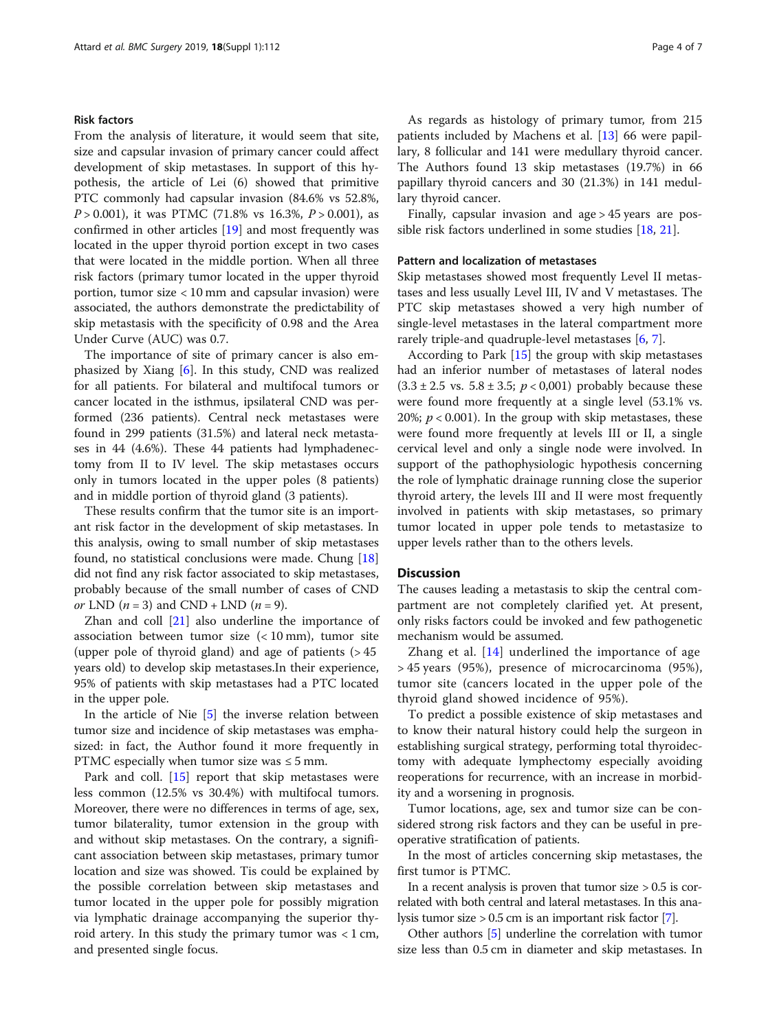### Risk factors

From the analysis of literature, it would seem that site, size and capsular invasion of primary cancer could affect development of skip metastases. In support of this hypothesis, the article of Lei (6) showed that primitive PTC commonly had capsular invasion (84.6% vs 52.8%,  $P > 0.001$ ), it was PTMC (71.8% vs 16.3%,  $P > 0.001$ ), as confirmed in other articles [\[19\]](#page-5-0) and most frequently was located in the upper thyroid portion except in two cases that were located in the middle portion. When all three risk factors (primary tumor located in the upper thyroid portion, tumor size < 10 mm and capsular invasion) were associated, the authors demonstrate the predictability of skip metastasis with the specificity of 0.98 and the Area Under Curve (AUC) was 0.7.

The importance of site of primary cancer is also emphasized by Xiang [[6\]](#page-5-0). In this study, CND was realized for all patients. For bilateral and multifocal tumors or cancer located in the isthmus, ipsilateral CND was performed (236 patients). Central neck metastases were found in 299 patients (31.5%) and lateral neck metastases in 44 (4.6%). These 44 patients had lymphadenectomy from II to IV level. The skip metastases occurs only in tumors located in the upper poles (8 patients) and in middle portion of thyroid gland (3 patients).

These results confirm that the tumor site is an important risk factor in the development of skip metastases. In this analysis, owing to small number of skip metastases found, no statistical conclusions were made. Chung [[18](#page-5-0)] did not find any risk factor associated to skip metastases, probably because of the small number of cases of CND or LND  $(n = 3)$  and CND + LND  $(n = 9)$ .

Zhan and coll [[21](#page-5-0)] also underline the importance of association between tumor size  $( $10 \text{ mm}$ ), tumor site)$ (upper pole of thyroid gland) and age of patients  $( > 45$ years old) to develop skip metastases.In their experience, 95% of patients with skip metastases had a PTC located in the upper pole.

In the article of Nie [[5](#page-5-0)] the inverse relation between tumor size and incidence of skip metastases was emphasized: in fact, the Author found it more frequently in PTMC especially when tumor size was  $\leq$  5 mm.

Park and coll. [[15](#page-5-0)] report that skip metastases were less common (12.5% vs 30.4%) with multifocal tumors. Moreover, there were no differences in terms of age, sex, tumor bilaterality, tumor extension in the group with and without skip metastases. On the contrary, a significant association between skip metastases, primary tumor location and size was showed. Tis could be explained by the possible correlation between skip metastases and tumor located in the upper pole for possibly migration via lymphatic drainage accompanying the superior thyroid artery. In this study the primary tumor was  $< 1$  cm, and presented single focus.

As regards as histology of primary tumor, from 215 patients included by Machens et al. [\[13](#page-5-0)] 66 were papillary, 8 follicular and 141 were medullary thyroid cancer. The Authors found 13 skip metastases (19.7%) in 66 papillary thyroid cancers and 30 (21.3%) in 141 medullary thyroid cancer.

Finally, capsular invasion and age > 45 years are possible risk factors underlined in some studies [\[18,](#page-5-0) [21\]](#page-5-0).

#### Pattern and localization of metastases

Skip metastases showed most frequently Level II metastases and less usually Level III, IV and V metastases. The PTC skip metastases showed a very high number of single-level metastases in the lateral compartment more rarely triple-and quadruple-level metastases [[6,](#page-5-0) [7\]](#page-5-0).

According to Park [[15](#page-5-0)] the group with skip metastases had an inferior number of metastases of lateral nodes  $(3.3 \pm 2.5 \text{ vs. } 5.8 \pm 3.5; p < 0.001)$  probably because these were found more frequently at a single level (53.1% vs. 20%;  $p < 0.001$ ). In the group with skip metastases, these were found more frequently at levels III or II, a single cervical level and only a single node were involved. In support of the pathophysiologic hypothesis concerning the role of lymphatic drainage running close the superior thyroid artery, the levels III and II were most frequently involved in patients with skip metastases, so primary tumor located in upper pole tends to metastasize to upper levels rather than to the others levels.

#### **Discussion**

The causes leading a metastasis to skip the central compartment are not completely clarified yet. At present, only risks factors could be invoked and few pathogenetic mechanism would be assumed.

Zhang et al.  $[14]$  $[14]$  underlined the importance of age > 45 years (95%), presence of microcarcinoma (95%), tumor site (cancers located in the upper pole of the thyroid gland showed incidence of 95%).

To predict a possible existence of skip metastases and to know their natural history could help the surgeon in establishing surgical strategy, performing total thyroidectomy with adequate lymphectomy especially avoiding reoperations for recurrence, with an increase in morbidity and a worsening in prognosis.

Tumor locations, age, sex and tumor size can be considered strong risk factors and they can be useful in preoperative stratification of patients.

In the most of articles concerning skip metastases, the first tumor is PTMC.

In a recent analysis is proven that tumor size  $> 0.5$  is correlated with both central and lateral metastases. In this analysis tumor size > 0.5 cm is an important risk factor [\[7\]](#page-5-0).

Other authors [[5](#page-5-0)] underline the correlation with tumor size less than 0.5 cm in diameter and skip metastases. In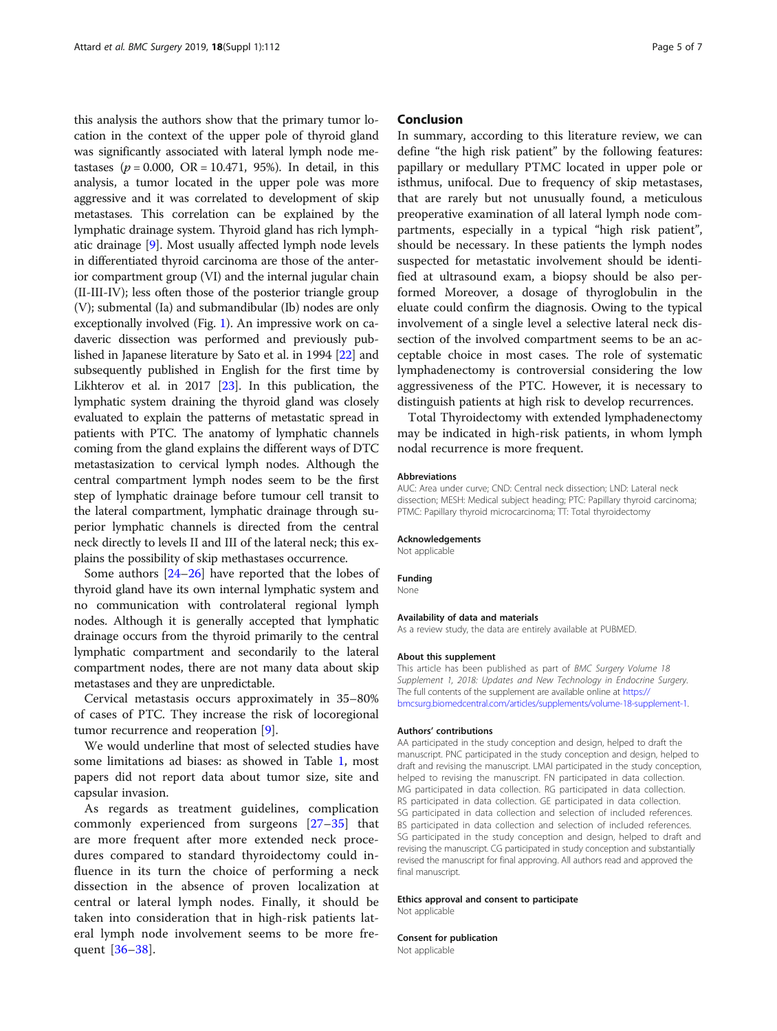this analysis the authors show that the primary tumor location in the context of the upper pole of thyroid gland was significantly associated with lateral lymph node metastases ( $p = 0.000$ , OR = 10.471, 95%). In detail, in this analysis, a tumor located in the upper pole was more aggressive and it was correlated to development of skip metastases. This correlation can be explained by the lymphatic drainage system. Thyroid gland has rich lymphatic drainage [[9](#page-5-0)]. Most usually affected lymph node levels in differentiated thyroid carcinoma are those of the anterior compartment group (VI) and the internal jugular chain (II-III-IV); less often those of the posterior triangle group (V); submental (Ia) and submandibular (Ib) nodes are only exceptionally involved (Fig. [1](#page-2-0)). An impressive work on cadaveric dissection was performed and previously published in Japanese literature by Sato et al. in 1994 [\[22\]](#page-5-0) and subsequently published in English for the first time by Likhterov et al. in 2017 [\[23\]](#page-5-0). In this publication, the lymphatic system draining the thyroid gland was closely evaluated to explain the patterns of metastatic spread in patients with PTC. The anatomy of lymphatic channels coming from the gland explains the different ways of DTC metastasization to cervical lymph nodes. Although the central compartment lymph nodes seem to be the first step of lymphatic drainage before tumour cell transit to the lateral compartment, lymphatic drainage through superior lymphatic channels is directed from the central neck directly to levels II and III of the lateral neck; this explains the possibility of skip methastases occurrence.

Some authors [[24](#page-5-0)–[26](#page-5-0)] have reported that the lobes of thyroid gland have its own internal lymphatic system and no communication with controlateral regional lymph nodes. Although it is generally accepted that lymphatic drainage occurs from the thyroid primarily to the central lymphatic compartment and secondarily to the lateral compartment nodes, there are not many data about skip metastases and they are unpredictable.

Cervical metastasis occurs approximately in 35–80% of cases of PTC. They increase the risk of locoregional tumor recurrence and reoperation [\[9](#page-5-0)].

We would underline that most of selected studies have some limitations ad biases: as showed in Table [1](#page-2-0), most papers did not report data about tumor size, site and capsular invasion.

As regards as treatment guidelines, complication commonly experienced from surgeons [\[27](#page-5-0)–[35](#page-5-0)] that are more frequent after more extended neck procedures compared to standard thyroidectomy could influence in its turn the choice of performing a neck dissection in the absence of proven localization at central or lateral lymph nodes. Finally, it should be taken into consideration that in high-risk patients lateral lymph node involvement seems to be more frequent [[36](#page-5-0)–[38\]](#page-6-0).

#### Conclusion

In summary, according to this literature review, we can define "the high risk patient" by the following features: papillary or medullary PTMC located in upper pole or isthmus, unifocal. Due to frequency of skip metastases, that are rarely but not unusually found, a meticulous preoperative examination of all lateral lymph node compartments, especially in a typical "high risk patient", should be necessary. In these patients the lymph nodes suspected for metastatic involvement should be identified at ultrasound exam, a biopsy should be also performed Moreover, a dosage of thyroglobulin in the eluate could confirm the diagnosis. Owing to the typical involvement of a single level a selective lateral neck dissection of the involved compartment seems to be an acceptable choice in most cases. The role of systematic lymphadenectomy is controversial considering the low aggressiveness of the PTC. However, it is necessary to distinguish patients at high risk to develop recurrences.

Total Thyroidectomy with extended lymphadenectomy may be indicated in high-risk patients, in whom lymph nodal recurrence is more frequent.

#### Abbreviations

AUC: Area under curve; CND: Central neck dissection; LND: Lateral neck dissection; MESH: Medical subject heading; PTC: Papillary thyroid carcinoma; PTMC: Papillary thyroid microcarcinoma; TT: Total thyroidectomy

#### Acknowledgements

Not applicable

#### Funding

None

#### Availability of data and materials

As a review study, the data are entirely available at PUBMED.

#### About this supplement

This article has been published as part of BMC Surgery Volume 18 Supplement 1, 2018: Updates and New Technology in Endocrine Surgery. The full contents of the supplement are available online at [https://](https://https://bmcsurg.biomedcentral.com/articles/supplements/volume-18-supplement-1) [bmcsurg.biomedcentral.com/articles/supplements/volume-18-supplement-1](https://https://bmcsurg.biomedcentral.com/articles/supplements/volume-18-supplement-1).

#### Authors' contributions

AA participated in the study conception and design, helped to draft the manuscript. PNC participated in the study conception and design, helped to draft and revising the manuscript. LMAI participated in the study conception, helped to revising the manuscript. FN participated in data collection. MG participated in data collection. RG participated in data collection. RS participated in data collection. GE participated in data collection. SG participated in data collection and selection of included references. BS participated in data collection and selection of included references. SG participated in the study conception and design, helped to draft and revising the manuscript. CG participated in study conception and substantially revised the manuscript for final approving. All authors read and approved the final manuscript.

#### Ethics approval and consent to participate

Not applicable

#### Consent for publication

Not applicable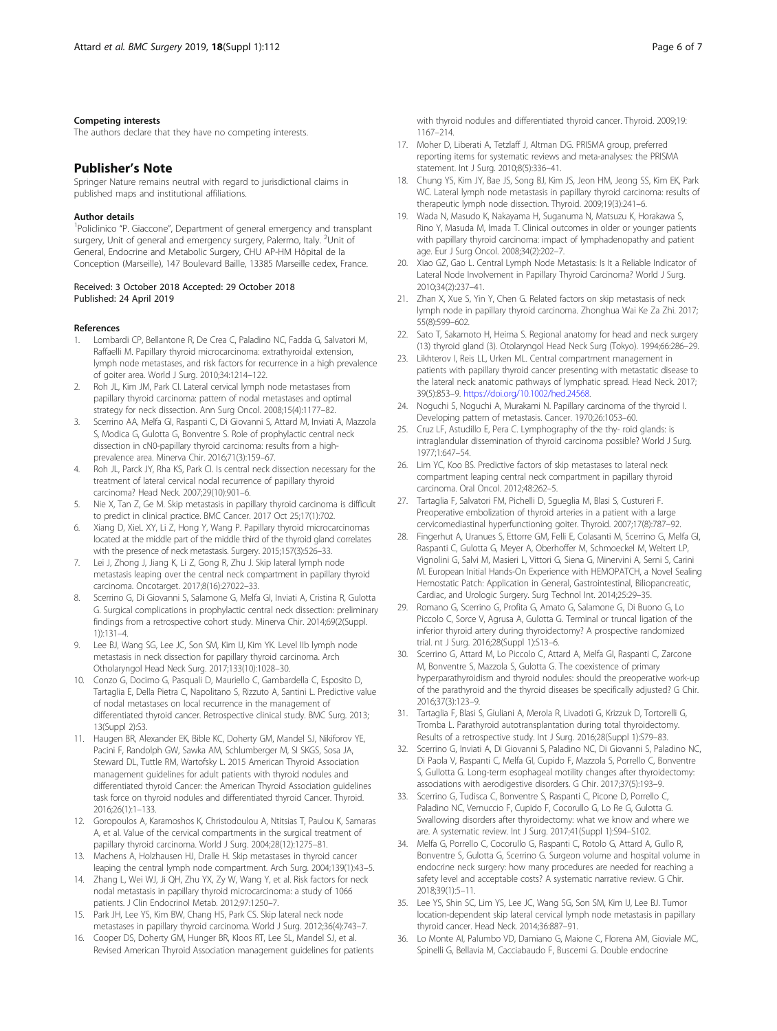#### <span id="page-5-0"></span>Competing interests

The authors declare that they have no competing interests.

#### Publisher's Note

Springer Nature remains neutral with regard to jurisdictional claims in published maps and institutional affiliations.

#### Author details

<sup>1</sup>Policlinico "P. Giaccone", Department of general emergency and transplant surgery, Unit of general and emergency surgery, Palermo, Italy. <sup>2</sup>Unit of General, Endocrine and Metabolic Surgery, CHU AP-HM Hôpital de la Conception (Marseille), 147 Boulevard Baille, 13385 Marseille cedex, France.

#### Received: 3 October 2018 Accepted: 29 October 2018 Published: 24 April 2019

#### **References**

- Lombardi CP, Bellantone R, De Crea C, Paladino NC, Fadda G, Salvatori M, Raffaelli M. Papillary thyroid microcarcinoma: extrathyroidal extension, lymph node metastases, and risk factors for recurrence in a high prevalence of goiter area. World J Surg. 2010;34:1214–122.
- 2. Roh JL, Kim JM, Park CI. Lateral cervical lymph node metastases from papillary thyroid carcinoma: pattern of nodal metastases and optimal strategy for neck dissection. Ann Surg Oncol. 2008;15(4):1177–82.
- 3. Scerrino AA, Melfa GI, Raspanti C, Di Giovanni S, Attard M, Inviati A, Mazzola S, Modica G, Gulotta G, Bonventre S. Role of prophylactic central neck dissection in cN0-papillary thyroid carcinoma: results from a highprevalence area. Minerva Chir. 2016;71(3):159–67.
- 4. Roh JL, Parck JY, Rha KS, Park CI. Is central neck dissection necessary for the treatment of lateral cervical nodal recurrence of papillary thyroid carcinoma? Head Neck. 2007;29(10):901–6.
- 5. Nie X, Tan Z, Ge M. Skip metastasis in papillary thyroid carcinoma is difficult to predict in clinical practice. BMC Cancer. 2017 Oct 25;17(1):702.
- 6. Xiang D, XieL XY, Li Z, Hong Y, Wang P. Papillary thyroid microcarcinomas located at the middle part of the middle third of the thyroid gland correlates with the presence of neck metastasis. Surgery. 2015;157(3):526–33.
- 7. Lei J, Zhong J, Jiang K, Li Z, Gong R, Zhu J. Skip lateral lymph node metastasis leaping over the central neck compartment in papillary thyroid carcinoma. Oncotarget. 2017;8(16):27022–33.
- 8. Scerrino G, Di Giovanni S, Salamone G, Melfa GI, Inviati A, Cristina R, Gulotta G. Surgical complications in prophylactic central neck dissection: preliminary findings from a retrospective cohort study. Minerva Chir. 2014;69(2(Suppl. 1)):131–4.
- 9. Lee BJ, Wang SG, Lee JC, Son SM, Kim IJ, Kim YK. Level IIb lymph node metastasis in neck dissection for papillary thyroid carcinoma. Arch Otholaryngol Head Neck Surg. 2017;133(10):1028–30.
- 10. Conzo G, Docimo G, Pasquali D, Mauriello C, Gambardella C, Esposito D, Tartaglia E, Della Pietra C, Napolitano S, Rizzuto A, Santini L. Predictive value of nodal metastases on local recurrence in the management of differentiated thyroid cancer. Retrospective clinical study. BMC Surg. 2013; 13(Suppl 2):S3.
- 11. Haugen BR, Alexander EK, Bible KC, Doherty GM, Mandel SJ, Nikiforov YE, Pacini F, Randolph GW, Sawka AM, Schlumberger M, SI SKGS, Sosa JA, Steward DL, Tuttle RM, Wartofsky L. 2015 American Thyroid Association management guidelines for adult patients with thyroid nodules and differentiated thyroid Cancer: the American Thyroid Association guidelines task force on thyroid nodules and differentiated thyroid Cancer. Thyroid. 2016;26(1):1–133.
- 12. Goropoulos A, Karamoshos K, Christodoulou A, Ntitsias T, Paulou K, Samaras A, et al. Value of the cervical compartments in the surgical treatment of papillary thyroid carcinoma. World J Surg. 2004;28(12):1275–81.
- 13. Machens A, Holzhausen HJ, Dralle H. Skip metastases in thyroid cancer leaping the central lymph node compartment. Arch Surg. 2004;139(1):43–5.
- 14. Zhang L, Wei WJ, Ji QH, Zhu YX, Zy W, Wang Y, et al. Risk factors for neck nodal metastasis in papillary thyroid microcarcinoma: a study of 1066 patients. J Clin Endocrinol Metab. 2012;97:1250–7.
- 15. Park JH, Lee YS, Kim BW, Chang HS, Park CS. Skip lateral neck node metastases in papillary thyroid carcinoma. World J Surg. 2012;36(4):743–7.
- 16. Cooper DS, Doherty GM, Hunger BR, Kloos RT, Lee SL, Mandel SJ, et al. Revised American Thyroid Association management guidelines for patients

with thyroid nodules and differentiated thyroid cancer. Thyroid. 2009;19: 1167–214.

- 17. Moher D, Liberati A, Tetzlaff J, Altman DG. PRISMA group, preferred reporting items for systematic reviews and meta-analyses: the PRISMA statement. Int J Surg. 2010;8(5):336–41.
- 18. Chung YS, Kim JY, Bae JS, Song BJ, Kim JS, Jeon HM, Jeong SS, Kim EK, Park WC. Lateral lymph node metastasis in papillary thyroid carcinoma: results of therapeutic lymph node dissection. Thyroid. 2009;19(3):241–6.
- 19. Wada N, Masudo K, Nakayama H, Suganuma N, Matsuzu K, Horakawa S, Rino Y, Masuda M, Imada T. Clinical outcomes in older or younger patients with papillary thyroid carcinoma: impact of lymphadenopathy and patient age. Eur J Surg Oncol. 2008;34(2):202–7.
- 20. Xiao GZ, Gao L. Central Lymph Node Metastasis: Is It a Reliable Indicator of Lateral Node Involvement in Papillary Thyroid Carcinoma? World J Surg. 2010;34(2):237–41.
- 21. Zhan X, Xue S, Yin Y, Chen G. Related factors on skip metastasis of neck lymph node in papillary thyroid carcinoma. Zhonghua Wai Ke Za Zhi. 2017; 55(8):599–602.
- 22. Sato T, Sakamoto H, Heima S. Regional anatomy for head and neck surgery (13) thyroid gland (3). Otolaryngol Head Neck Surg (Tokyo). 1994;66:286–29.
- 23. Likhterov I, Reis LL, Urken ML. Central compartment management in patients with papillary thyroid cancer presenting with metastatic disease to the lateral neck: anatomic pathways of lymphatic spread. Head Neck. 2017; 39(5):853–9. [https://doi.org/10.1002/hed.24568.](https://doi.org/10.1002/hed.24568)
- 24. Noguchi S, Noguchi A, Murakami N. Papillary carcinoma of the thyroid I. Developing pattern of metastasis. Cancer. 1970;26:1053–60.
- 25. Cruz LF, Astudillo E, Pera C. Lymphography of the thy- roid glands: is intraglandular dissemination of thyroid carcinoma possible? World J Surg. 1977;1:647–54.
- 26. Lim YC, Koo BS. Predictive factors of skip metastases to lateral neck compartment leaping central neck compartment in papillary thyroid carcinoma. Oral Oncol. 2012;48:262–5.
- 27. Tartaglia F, Salvatori FM, Pichelli D, Sgueglia M, Blasi S, Custureri F. Preoperative embolization of thyroid arteries in a patient with a large cervicomediastinal hyperfunctioning goiter. Thyroid. 2007;17(8):787–92.
- 28. Fingerhut A, Uranues S, Ettorre GM, Felli E, Colasanti M, Scerrino G, Melfa GI, Raspanti C, Gulotta G, Meyer A, Oberhoffer M, Schmoeckel M, Weltert LP, Vignolini G, Salvi M, Masieri L, Vittori G, Siena G, Minervini A, Serni S, Carini M. European Initial Hands-On Experience with HEMOPATCH, a Novel Sealing Hemostatic Patch: Application in General, Gastrointestinal, Biliopancreatic, Cardiac, and Urologic Surgery. Surg Technol Int. 2014;25:29–35.
- 29. Romano G, Scerrino G, Profita G, Amato G, Salamone G, Di Buono G, Lo Piccolo C, Sorce V, Agrusa A, Gulotta G. Terminal or truncal ligation of the inferior thyroid artery during thyroidectomy? A prospective randomized trial. nt J Surg. 2016;28(Suppl 1):S13–6.
- 30. Scerrino G, Attard M, Lo Piccolo C, Attard A, Melfa GI, Raspanti C, Zarcone M, Bonventre S, Mazzola S, Gulotta G. The coexistence of primary hyperparathyroidism and thyroid nodules: should the preoperative work-up of the parathyroid and the thyroid diseases be specifically adjusted? G Chir. 2016;37(3):123–9.
- 31. Tartaglia F, Blasi S, Giuliani A, Merola R, Livadoti G, Krizzuk D, Tortorelli G, Tromba L. Parathyroid autotransplantation during total thyroidectomy. Results of a retrospective study. Int J Surg. 2016;28(Suppl 1):S79–83.
- 32. Scerrino G, Inviati A, Di Giovanni S, Paladino NC, Di Giovanni S, Paladino NC, Di Paola V, Raspanti C, Melfa GI, Cupido F, Mazzola S, Porrello C, Bonventre S, Gullotta G. Long-term esophageal motility changes after thyroidectomy: associations with aerodigestive disorders. G Chir. 2017;37(5):193–9.
- 33. Scerrino G, Tudisca C, Bonventre S, Raspanti C, Picone D, Porrello C, Paladino NC, Vernuccio F, Cupido F, Cocorullo G, Lo Re G, Gulotta G. Swallowing disorders after thyroidectomy: what we know and where we are. A systematic review. Int J Surg. 2017;41(Suppl 1):S94–S102.
- 34. Melfa G, Porrello C, Cocorullo G, Raspanti C, Rotolo G, Attard A, Gullo R, Bonventre S, Gulotta G, Scerrino G. Surgeon volume and hospital volume in endocrine neck surgery: how many procedures are needed for reaching a safety level and acceptable costs? A systematic narrative review. G Chir. 2018;39(1):5–11.
- 35. Lee YS, Shin SC, Lim YS, Lee JC, Wang SG, Son SM, Kim IJ, Lee BJ. Tumor location-dependent skip lateral cervical lymph node metastasis in papillary thyroid cancer. Head Neck. 2014;36:887–91.
- 36. Lo Monte AI, Palumbo VD, Damiano G, Maione C, Florena AM, Gioviale MC, Spinelli G, Bellavia M, Cacciabaudo F, Buscemi G. Double endocrine